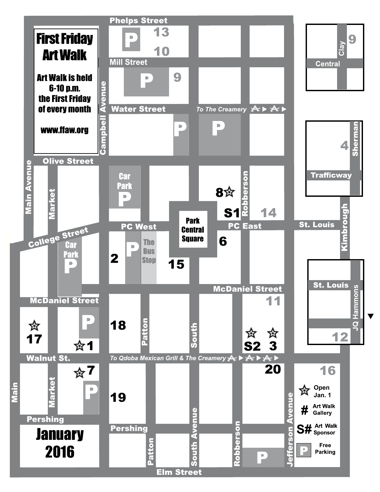